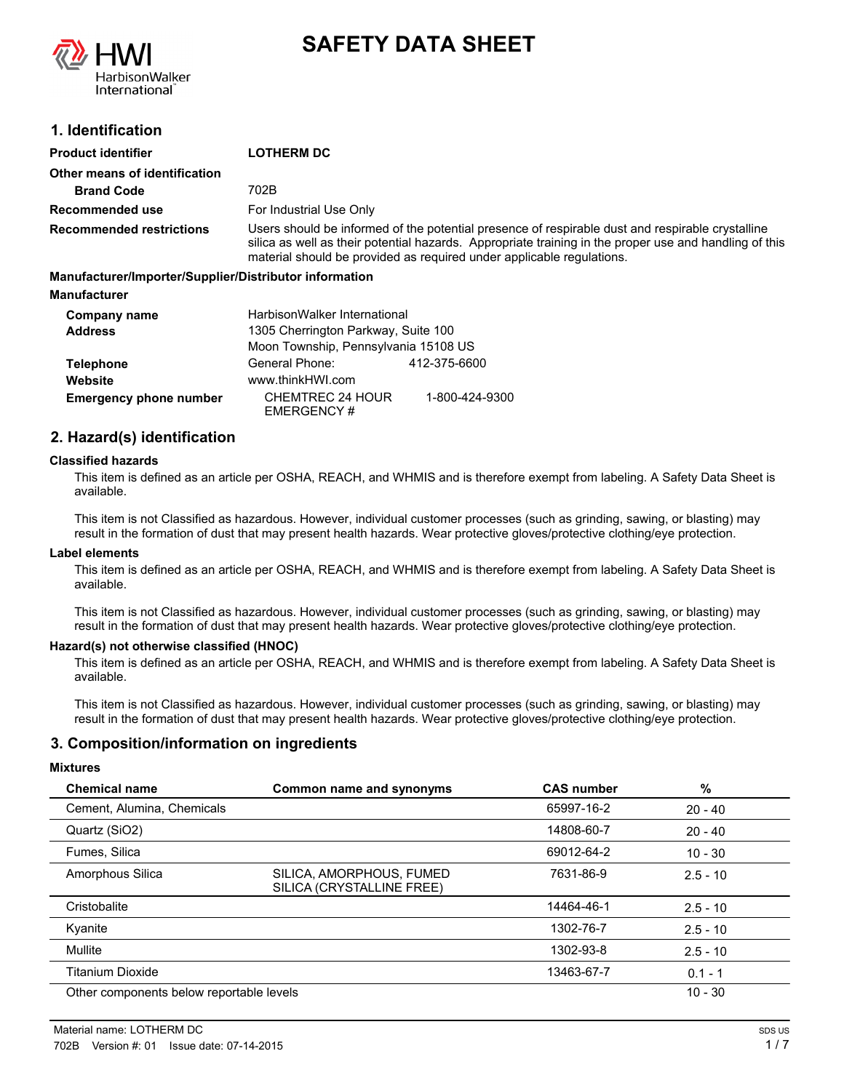

# **SAFETY DATA SHEET**

# **1. Identification**

| <b>Product identifier</b>                              | <b>LOTHERM DC</b>                                                                                                                                                                                                                                                                   |
|--------------------------------------------------------|-------------------------------------------------------------------------------------------------------------------------------------------------------------------------------------------------------------------------------------------------------------------------------------|
| Other means of identification                          |                                                                                                                                                                                                                                                                                     |
| <b>Brand Code</b>                                      | 702B                                                                                                                                                                                                                                                                                |
| Recommended use                                        | For Industrial Use Only                                                                                                                                                                                                                                                             |
| <b>Recommended restrictions</b>                        | Users should be informed of the potential presence of respirable dust and respirable crystalline<br>silica as well as their potential hazards. Appropriate training in the proper use and handling of this<br>material should be provided as required under applicable requiations. |
| Manufacturer/Importer/Supplier/Distributor information |                                                                                                                                                                                                                                                                                     |
| <b>Manufacturer</b>                                    |                                                                                                                                                                                                                                                                                     |
| Company name                                           | HarbisonWalker International                                                                                                                                                                                                                                                        |
| <b>Address</b>                                         | 1305 Cherrington Parkway, Suite 100                                                                                                                                                                                                                                                 |
|                                                        | Moon Township, Pennsylvania 15108 US                                                                                                                                                                                                                                                |

|                               | <b>NOON TOWNSHIP, FEMISYIVAMIA 13100 US</b> |                |
|-------------------------------|---------------------------------------------|----------------|
| <b>Telephone</b>              | General Phone:                              | 412-375-6600   |
| Website                       | www.thinkHWI.com                            |                |
| <b>Emergency phone number</b> | CHEMTREC 24 HOUR<br>EMERGENCY#              | 1-800-424-9300 |

# **2. Hazard(s) identification**

### **Classified hazards**

This item is defined as an article per OSHA, REACH, and WHMIS and is therefore exempt from labeling. A Safety Data Sheet is available.

This item is not Classified as hazardous. However, individual customer processes (such as grinding, sawing, or blasting) may result in the formation of dust that may present health hazards. Wear protective gloves/protective clothing/eye protection.

#### **Label elements**

This item is defined as an article per OSHA, REACH, and WHMIS and is therefore exempt from labeling. A Safety Data Sheet is available.

This item is not Classified as hazardous. However, individual customer processes (such as grinding, sawing, or blasting) may result in the formation of dust that may present health hazards. Wear protective gloves/protective clothing/eye protection.

### **Hazard(s) not otherwise classified (HNOC)**

This item is defined as an article per OSHA, REACH, and WHMIS and is therefore exempt from labeling. A Safety Data Sheet is available.

This item is not Classified as hazardous. However, individual customer processes (such as grinding, sawing, or blasting) may result in the formation of dust that may present health hazards. Wear protective gloves/protective clothing/eye protection.

### **3. Composition/information on ingredients**

### **Mixtures**

| <b>Chemical name</b>                     | Common name and synonyms                              | <b>CAS number</b> | %          |
|------------------------------------------|-------------------------------------------------------|-------------------|------------|
| Cement, Alumina, Chemicals               |                                                       | 65997-16-2        | $20 - 40$  |
| Quartz (SiO2)                            |                                                       | 14808-60-7        | $20 - 40$  |
| Fumes, Silica                            |                                                       | 69012-64-2        | $10 - 30$  |
| Amorphous Silica                         | SILICA, AMORPHOUS, FUMED<br>SILICA (CRYSTALLINE FREE) | 7631-86-9         | $2.5 - 10$ |
| Cristobalite                             |                                                       | 14464-46-1        | $2.5 - 10$ |
| Kyanite                                  |                                                       | 1302-76-7         | $2.5 - 10$ |
| Mullite                                  |                                                       | 1302-93-8         | $2.5 - 10$ |
| <b>Titanium Dioxide</b>                  |                                                       | 13463-67-7        | $0.1 - 1$  |
| Other components below reportable levels |                                                       |                   | $10 - 30$  |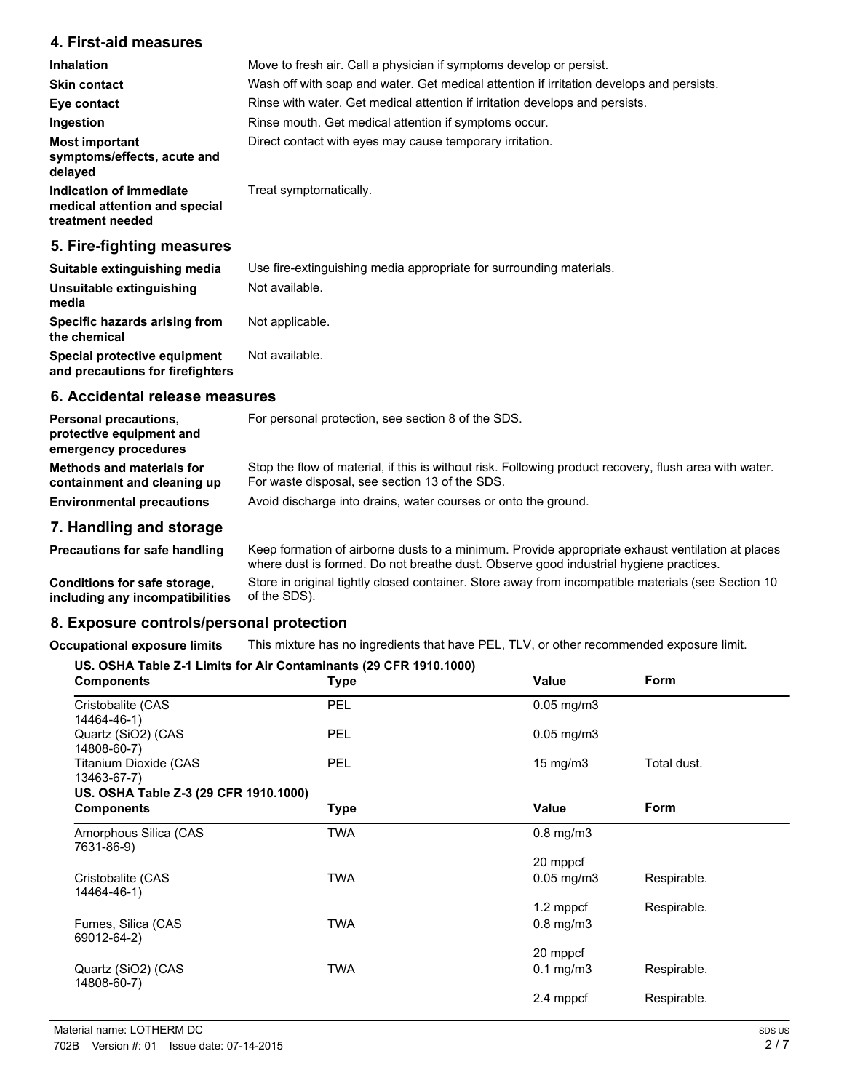# **4. First-aid measures**

| <b>Inhalation</b>                                                            | Move to fresh air. Call a physician if symptoms develop or persist.                      |
|------------------------------------------------------------------------------|------------------------------------------------------------------------------------------|
| <b>Skin contact</b>                                                          | Wash off with soap and water. Get medical attention if irritation develops and persists. |
| Eye contact                                                                  | Rinse with water. Get medical attention if irritation develops and persists.             |
| Ingestion                                                                    | Rinse mouth. Get medical attention if symptoms occur.                                    |
| <b>Most important</b><br>symptoms/effects, acute and<br>delayed              | Direct contact with eyes may cause temporary irritation.                                 |
| Indication of immediate<br>medical attention and special<br>treatment needed | Treat symptomatically.                                                                   |
| 5. Fire-fighting measures                                                    |                                                                                          |
| Suitable extinguishing media                                                 | Use fire-extinguishing media appropriate for surrounding materials.                      |
| Unsuitable extinguishing                                                     | Not available.                                                                           |

| Unsuitable extinguishing<br>media                                | Not available.  |
|------------------------------------------------------------------|-----------------|
| Specific hazards arising from<br>the chemical                    | Not applicable. |
| Special protective equipment<br>and precautions for firefighters | Not available.  |

# **6. Accidental release measures**

| <b>Personal precautions.</b><br>protective equipment and<br>emergency procedures | For personal protection, see section 8 of the SDS.                                                                                                       |
|----------------------------------------------------------------------------------|----------------------------------------------------------------------------------------------------------------------------------------------------------|
| <b>Methods and materials for</b><br>containment and cleaning up                  | Stop the flow of material, if this is without risk. Following product recovery, flush area with water.<br>For waste disposal, see section 13 of the SDS. |
| <b>Environmental precautions</b>                                                 | Avoid discharge into drains, water courses or onto the ground.                                                                                           |
| 7 Llandling and atavana                                                          |                                                                                                                                                          |

# **7. Handling and storage**

Keep formation of airborne dusts to a minimum. Provide appropriate exhaust ventilation at places where dust is formed. Do not breathe dust. Observe good industrial hygiene practices. **Precautions for safe handling** Store in original tightly closed container. Store away from incompatible materials (see Section 10 of the SDS). **Conditions for safe storage, including any incompatibilities**

# **8. Exposure controls/personal protection**

**Occupational exposure limits** This mixture has no ingredients that have PEL, TLV, or other recommended exposure limit.

### **US. OSHA Table Z-1 Limits for Air Contaminants (29 CFR 1910.1000)**

| <b>Components</b>                     | <b>Type</b> | Value              | Form        |
|---------------------------------------|-------------|--------------------|-------------|
| Cristobalite (CAS<br>14464-46-1)      | PEL         | $0.05$ mg/m $3$    |             |
| Quartz (SiO2) (CAS<br>14808-60-7)     | <b>PEL</b>  | $0.05$ mg/m $3$    |             |
| Titanium Dioxide (CAS<br>13463-67-7)  | PEL         | $15 \text{ mg/m}$  | Total dust. |
| US. OSHA Table Z-3 (29 CFR 1910.1000) |             |                    |             |
| <b>Components</b>                     | <b>Type</b> | Value              | Form        |
| Amorphous Silica (CAS<br>7631-86-9)   | <b>TWA</b>  | $0.8$ mg/m $3$     |             |
|                                       |             | 20 mppcf           |             |
| Cristobalite (CAS<br>14464-46-1)      | <b>TWA</b>  | $0.05$ mg/m $3$    | Respirable. |
|                                       |             | 1.2 mppcf          | Respirable. |
| Fumes, Silica (CAS<br>69012-64-2)     | <b>TWA</b>  | $0.8$ mg/m $3$     |             |
|                                       |             | 20 mppcf           |             |
| Quartz (SiO2) (CAS<br>14808-60-7)     | TWA         | $0.1 \text{ mg/m}$ | Respirable. |
|                                       |             | 2.4 mppcf          | Respirable. |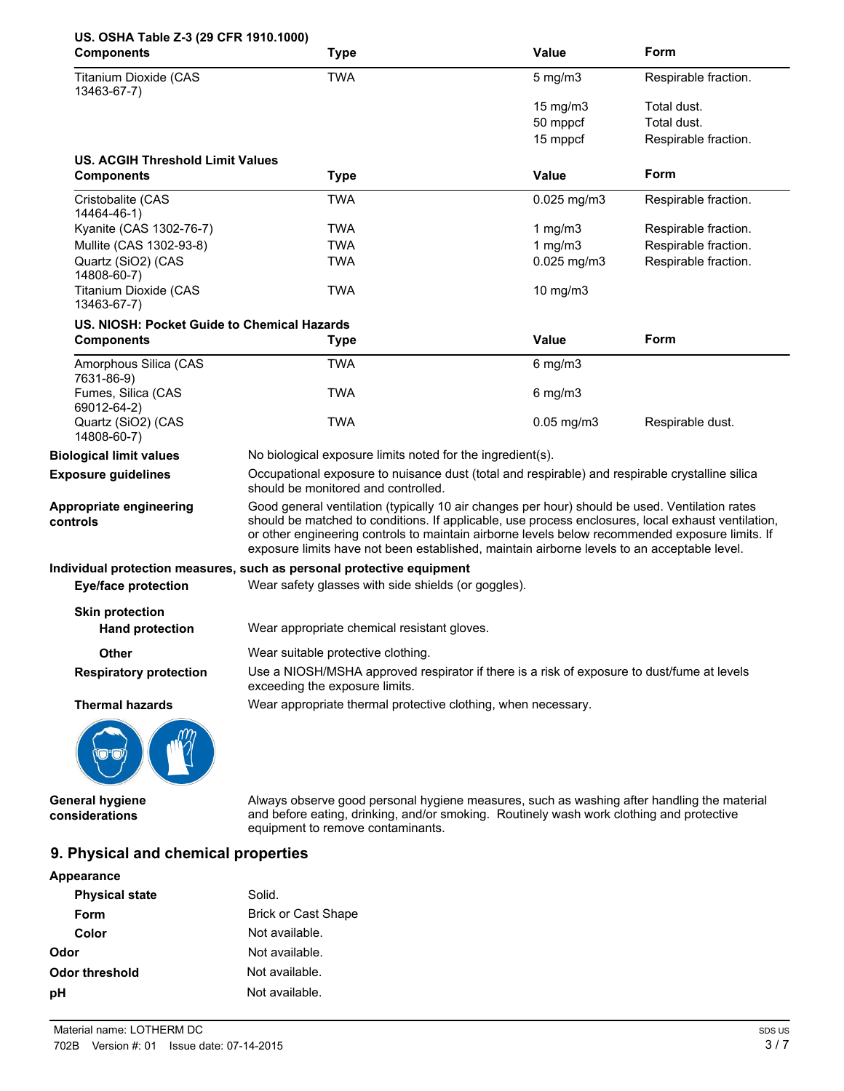| US. OSHA Table Z-3 (29 CFR 1910.1000)       |                                                                                                                                                                                                                                                                                                                                                                                                        |                   |                      |
|---------------------------------------------|--------------------------------------------------------------------------------------------------------------------------------------------------------------------------------------------------------------------------------------------------------------------------------------------------------------------------------------------------------------------------------------------------------|-------------------|----------------------|
| <b>Components</b>                           | <b>Type</b>                                                                                                                                                                                                                                                                                                                                                                                            | Value             | Form                 |
| <b>Titanium Dioxide (CAS</b><br>13463-67-7) | <b>TWA</b>                                                                                                                                                                                                                                                                                                                                                                                             | $5$ mg/m $3$      | Respirable fraction. |
|                                             |                                                                                                                                                                                                                                                                                                                                                                                                        | $15 \text{ mg/m}$ | Total dust.          |
|                                             |                                                                                                                                                                                                                                                                                                                                                                                                        | 50 mppcf          | Total dust.          |
|                                             |                                                                                                                                                                                                                                                                                                                                                                                                        | 15 mppcf          | Respirable fraction. |
| US. ACGIH Threshold Limit Values            |                                                                                                                                                                                                                                                                                                                                                                                                        |                   |                      |
| <b>Components</b>                           | <b>Type</b>                                                                                                                                                                                                                                                                                                                                                                                            | Value             | Form                 |
| Cristobalite (CAS<br>14464-46-1)            | <b>TWA</b>                                                                                                                                                                                                                                                                                                                                                                                             | $0.025$ mg/m3     | Respirable fraction. |
| Kyanite (CAS 1302-76-7)                     | TWA                                                                                                                                                                                                                                                                                                                                                                                                    | 1 $mg/m3$         | Respirable fraction. |
| Mullite (CAS 1302-93-8)                     | <b>TWA</b>                                                                                                                                                                                                                                                                                                                                                                                             | 1 $mg/m3$         | Respirable fraction. |
| Quartz (SiO2) (CAS<br>14808-60-7)           | <b>TWA</b>                                                                                                                                                                                                                                                                                                                                                                                             | $0.025$ mg/m3     | Respirable fraction. |
| <b>Titanium Dioxide (CAS</b><br>13463-67-7) | <b>TWA</b>                                                                                                                                                                                                                                                                                                                                                                                             | 10 mg/m3          |                      |
| US. NIOSH: Pocket Guide to Chemical Hazards |                                                                                                                                                                                                                                                                                                                                                                                                        |                   |                      |
| <b>Components</b>                           | <b>Type</b>                                                                                                                                                                                                                                                                                                                                                                                            | Value             | Form                 |
| Amorphous Silica (CAS<br>7631-86-9)         | <b>TWA</b>                                                                                                                                                                                                                                                                                                                                                                                             | $6$ mg/m $3$      |                      |
| Fumes, Silica (CAS<br>69012-64-2)           | <b>TWA</b>                                                                                                                                                                                                                                                                                                                                                                                             | $6$ mg/m $3$      |                      |
| Quartz (SiO2) (CAS<br>14808-60-7)           | <b>TWA</b>                                                                                                                                                                                                                                                                                                                                                                                             | $0.05$ mg/m $3$   | Respirable dust.     |
| <b>Biological limit values</b>              | No biological exposure limits noted for the ingredient(s).                                                                                                                                                                                                                                                                                                                                             |                   |                      |
| <b>Exposure guidelines</b>                  | Occupational exposure to nuisance dust (total and respirable) and respirable crystalline silica<br>should be monitored and controlled.                                                                                                                                                                                                                                                                 |                   |                      |
| Appropriate engineering<br>controls         | Good general ventilation (typically 10 air changes per hour) should be used. Ventilation rates<br>should be matched to conditions. If applicable, use process enclosures, local exhaust ventilation,<br>or other engineering controls to maintain airborne levels below recommended exposure limits. If<br>exposure limits have not been established, maintain airborne levels to an acceptable level. |                   |                      |
|                                             | Individual protection measures, such as personal protective equipment                                                                                                                                                                                                                                                                                                                                  |                   |                      |
| <b>Eye/face protection</b>                  | Wear safety glasses with side shields (or goggles).                                                                                                                                                                                                                                                                                                                                                    |                   |                      |
| <b>Skin protection</b>                      |                                                                                                                                                                                                                                                                                                                                                                                                        |                   |                      |
| <b>Hand protection</b>                      | Wear appropriate chemical resistant gloves.                                                                                                                                                                                                                                                                                                                                                            |                   |                      |
| <b>Other</b>                                | Wear suitable protective clothing.                                                                                                                                                                                                                                                                                                                                                                     |                   |                      |
| <b>Respiratory protection</b>               | Use a NIOSH/MSHA approved respirator if there is a risk of exposure to dust/fume at levels<br>exceeding the exposure limits.                                                                                                                                                                                                                                                                           |                   |                      |
| <b>Thermal hazards</b>                      | Wear appropriate thermal protective clothing, when necessary.                                                                                                                                                                                                                                                                                                                                          |                   |                      |
|                                             |                                                                                                                                                                                                                                                                                                                                                                                                        |                   |                      |
| <b>General hygiene</b><br>considerations    | Always observe good personal hygiene measures, such as washing after handling the material<br>and before eating, drinking, and/or smoking. Routinely wash work clothing and protective<br>equipment to remove contaminants.                                                                                                                                                                            |                   |                      |

# **9. Physical and chemical properties**

| Appearance            |                            |
|-----------------------|----------------------------|
| <b>Physical state</b> | Solid.                     |
| Form                  | <b>Brick or Cast Shape</b> |
| Color                 | Not available.             |
| Odor                  | Not available.             |
| <b>Odor threshold</b> | Not available.             |
| рH                    | Not available.             |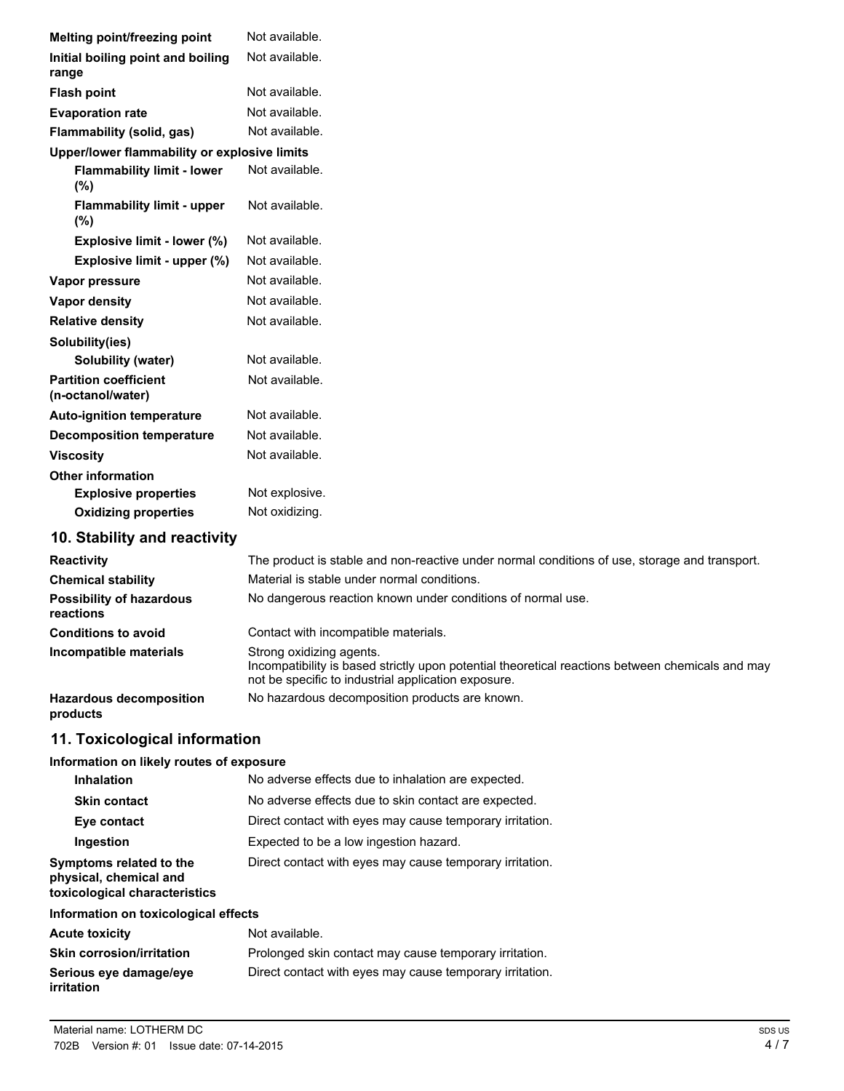| Melting point/freezing point                      | Not available.                                                                                |
|---------------------------------------------------|-----------------------------------------------------------------------------------------------|
| Initial boiling point and boiling                 | Not available.                                                                                |
| range                                             |                                                                                               |
| <b>Flash point</b>                                | Not available.                                                                                |
| <b>Evaporation rate</b>                           | Not available.                                                                                |
| Flammability (solid, gas)                         | Not available.                                                                                |
| Upper/lower flammability or explosive limits      |                                                                                               |
| <b>Flammability limit - lower</b><br>(%)          | Not available.                                                                                |
| <b>Flammability limit - upper</b><br>(%)          | Not available.                                                                                |
| Explosive limit - lower (%)                       | Not available.                                                                                |
| Explosive limit - upper (%)                       | Not available.                                                                                |
| Vapor pressure                                    | Not available.                                                                                |
| <b>Vapor density</b>                              | Not available.                                                                                |
| <b>Relative density</b>                           | Not available.                                                                                |
| Solubility(ies)                                   |                                                                                               |
| Solubility (water)                                | Not available.                                                                                |
| <b>Partition coefficient</b><br>(n-octanol/water) | Not available.                                                                                |
| <b>Auto-ignition temperature</b>                  | Not available.                                                                                |
| <b>Decomposition temperature</b>                  | Not available.                                                                                |
| <b>Viscosity</b>                                  | Not available.                                                                                |
| <b>Other information</b>                          |                                                                                               |
| <b>Explosive properties</b>                       | Not explosive.                                                                                |
| <b>Oxidizing properties</b>                       | Not oxidizing.                                                                                |
| 10. Stability and reactivity                      |                                                                                               |
| <b>Reactivity</b>                                 | The product is stable and non-reactive under normal conditions of use, storage and transport. |
| <b>Chemical stability</b>                         | Material is stable under normal conditions.                                                   |
| <b>Possibility of hazardous</b><br>reactions      | No dangerous reaction known under conditions of normal use.                                   |
| <b>Conditions to avoid</b>                        | Contact with incompatible materials.                                                          |

Strong oxidizing agents. Incompatibility is based strictly upon potential theoretical reactions between chemicals and may not be specific to industrial application exposure. **Incompatible materials**

Hazardous decomposition No hazardous decomposition products are known. **products**

# **11. Toxicological information**

### **Information on likely routes of exposure**

| <b>Inhalation</b>                                                                  | No adverse effects due to inhalation are expected.       |
|------------------------------------------------------------------------------------|----------------------------------------------------------|
| <b>Skin contact</b>                                                                | No adverse effects due to skin contact are expected.     |
| Eye contact                                                                        | Direct contact with eyes may cause temporary irritation. |
| Ingestion                                                                          | Expected to be a low ingestion hazard.                   |
| Symptoms related to the<br>physical, chemical and<br>toxicological characteristics | Direct contact with eyes may cause temporary irritation. |

# **Information on toxicological effects**

| <b>Acute toxicity</b>                       | Not available.                                           |
|---------------------------------------------|----------------------------------------------------------|
| <b>Skin corrosion/irritation</b>            | Prolonged skin contact may cause temporary irritation.   |
| Serious eye damage/eye<br><i>irritation</i> | Direct contact with eyes may cause temporary irritation. |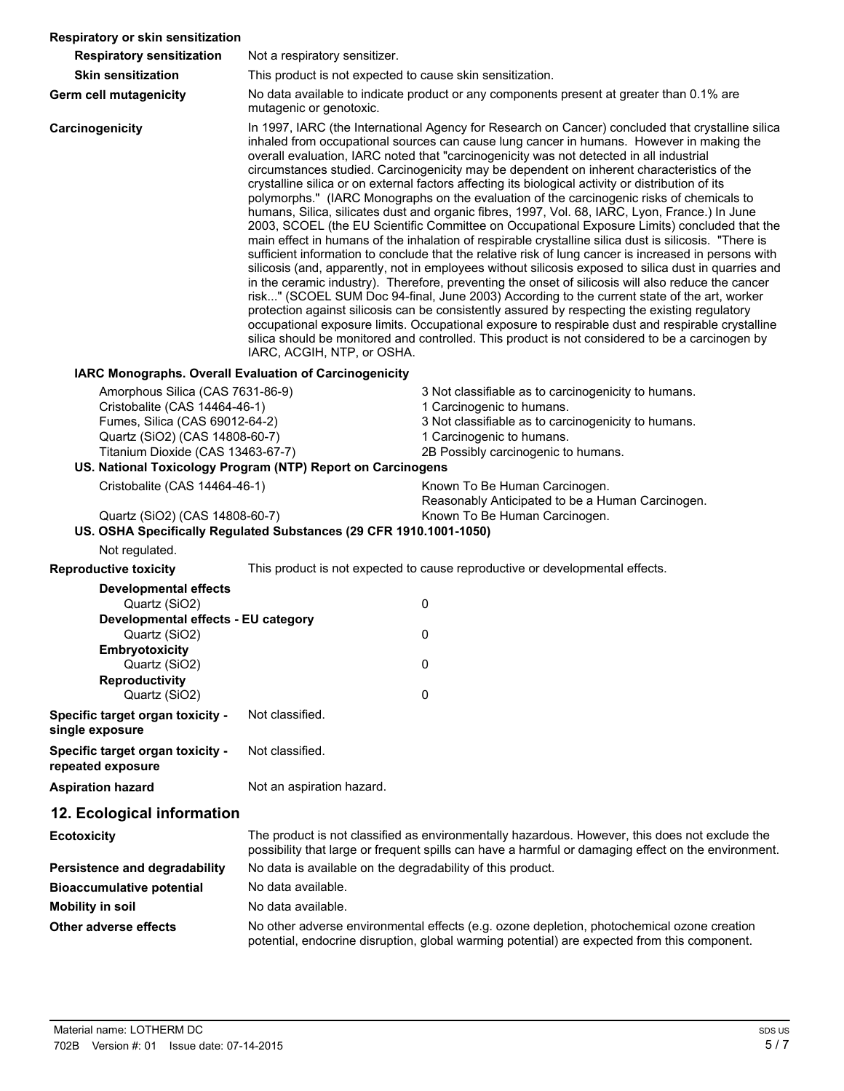| Respiratory or skin sensitization                                                                                                                                                                                                         |                                                                                                                                                                                                                                                                                                                                                                                                                                                                                                                                                                                                                                                                                                                                                                                                                                                                                                                                                                                                                                                                                                                                                                                                                                                                                                                                                                                                                                                                                                                                                                                                                                                                     |                                                                                                                                                                                                             |  |
|-------------------------------------------------------------------------------------------------------------------------------------------------------------------------------------------------------------------------------------------|---------------------------------------------------------------------------------------------------------------------------------------------------------------------------------------------------------------------------------------------------------------------------------------------------------------------------------------------------------------------------------------------------------------------------------------------------------------------------------------------------------------------------------------------------------------------------------------------------------------------------------------------------------------------------------------------------------------------------------------------------------------------------------------------------------------------------------------------------------------------------------------------------------------------------------------------------------------------------------------------------------------------------------------------------------------------------------------------------------------------------------------------------------------------------------------------------------------------------------------------------------------------------------------------------------------------------------------------------------------------------------------------------------------------------------------------------------------------------------------------------------------------------------------------------------------------------------------------------------------------------------------------------------------------|-------------------------------------------------------------------------------------------------------------------------------------------------------------------------------------------------------------|--|
| <b>Respiratory sensitization</b>                                                                                                                                                                                                          | Not a respiratory sensitizer.                                                                                                                                                                                                                                                                                                                                                                                                                                                                                                                                                                                                                                                                                                                                                                                                                                                                                                                                                                                                                                                                                                                                                                                                                                                                                                                                                                                                                                                                                                                                                                                                                                       |                                                                                                                                                                                                             |  |
| <b>Skin sensitization</b>                                                                                                                                                                                                                 | This product is not expected to cause skin sensitization.                                                                                                                                                                                                                                                                                                                                                                                                                                                                                                                                                                                                                                                                                                                                                                                                                                                                                                                                                                                                                                                                                                                                                                                                                                                                                                                                                                                                                                                                                                                                                                                                           |                                                                                                                                                                                                             |  |
| Germ cell mutagenicity                                                                                                                                                                                                                    | mutagenic or genotoxic.                                                                                                                                                                                                                                                                                                                                                                                                                                                                                                                                                                                                                                                                                                                                                                                                                                                                                                                                                                                                                                                                                                                                                                                                                                                                                                                                                                                                                                                                                                                                                                                                                                             | No data available to indicate product or any components present at greater than 0.1% are                                                                                                                    |  |
| Carcinogenicity                                                                                                                                                                                                                           | In 1997, IARC (the International Agency for Research on Cancer) concluded that crystalline silica<br>inhaled from occupational sources can cause lung cancer in humans. However in making the<br>overall evaluation, IARC noted that "carcinogenicity was not detected in all industrial<br>circumstances studied. Carcinogenicity may be dependent on inherent characteristics of the<br>crystalline silica or on external factors affecting its biological activity or distribution of its<br>polymorphs." (IARC Monographs on the evaluation of the carcinogenic risks of chemicals to<br>humans, Silica, silicates dust and organic fibres, 1997, Vol. 68, IARC, Lyon, France.) In June<br>2003, SCOEL (the EU Scientific Committee on Occupational Exposure Limits) concluded that the<br>main effect in humans of the inhalation of respirable crystalline silica dust is silicosis. "There is<br>sufficient information to conclude that the relative risk of lung cancer is increased in persons with<br>silicosis (and, apparently, not in employees without silicosis exposed to silica dust in quarries and<br>in the ceramic industry). Therefore, preventing the onset of silicosis will also reduce the cancer<br>risk" (SCOEL SUM Doc 94-final, June 2003) According to the current state of the art, worker<br>protection against silicosis can be consistently assured by respecting the existing regulatory<br>occupational exposure limits. Occupational exposure to respirable dust and respirable crystalline<br>silica should be monitored and controlled. This product is not considered to be a carcinogen by<br>IARC, ACGIH, NTP, or OSHA. |                                                                                                                                                                                                             |  |
|                                                                                                                                                                                                                                           | IARC Monographs. Overall Evaluation of Carcinogenicity                                                                                                                                                                                                                                                                                                                                                                                                                                                                                                                                                                                                                                                                                                                                                                                                                                                                                                                                                                                                                                                                                                                                                                                                                                                                                                                                                                                                                                                                                                                                                                                                              |                                                                                                                                                                                                             |  |
| Amorphous Silica (CAS 7631-86-9)<br>Cristobalite (CAS 14464-46-1)<br>Fumes, Silica (CAS 69012-64-2)<br>Quartz (SiO2) (CAS 14808-60-7)<br>Titanium Dioxide (CAS 13463-67-7)<br>US. National Toxicology Program (NTP) Report on Carcinogens |                                                                                                                                                                                                                                                                                                                                                                                                                                                                                                                                                                                                                                                                                                                                                                                                                                                                                                                                                                                                                                                                                                                                                                                                                                                                                                                                                                                                                                                                                                                                                                                                                                                                     | 3 Not classifiable as to carcinogenicity to humans.<br>1 Carcinogenic to humans.<br>3 Not classifiable as to carcinogenicity to humans.<br>1 Carcinogenic to humans.<br>2B Possibly carcinogenic to humans. |  |
| Cristobalite (CAS 14464-46-1)<br>Quartz (SiO2) (CAS 14808-60-7)                                                                                                                                                                           |                                                                                                                                                                                                                                                                                                                                                                                                                                                                                                                                                                                                                                                                                                                                                                                                                                                                                                                                                                                                                                                                                                                                                                                                                                                                                                                                                                                                                                                                                                                                                                                                                                                                     | Known To Be Human Carcinogen.<br>Reasonably Anticipated to be a Human Carcinogen.<br>Known To Be Human Carcinogen.                                                                                          |  |
| Not regulated.                                                                                                                                                                                                                            | US. OSHA Specifically Regulated Substances (29 CFR 1910.1001-1050)                                                                                                                                                                                                                                                                                                                                                                                                                                                                                                                                                                                                                                                                                                                                                                                                                                                                                                                                                                                                                                                                                                                                                                                                                                                                                                                                                                                                                                                                                                                                                                                                  |                                                                                                                                                                                                             |  |
| <b>Reproductive toxicity</b>                                                                                                                                                                                                              |                                                                                                                                                                                                                                                                                                                                                                                                                                                                                                                                                                                                                                                                                                                                                                                                                                                                                                                                                                                                                                                                                                                                                                                                                                                                                                                                                                                                                                                                                                                                                                                                                                                                     | This product is not expected to cause reproductive or developmental effects.                                                                                                                                |  |
| <b>Developmental effects</b>                                                                                                                                                                                                              |                                                                                                                                                                                                                                                                                                                                                                                                                                                                                                                                                                                                                                                                                                                                                                                                                                                                                                                                                                                                                                                                                                                                                                                                                                                                                                                                                                                                                                                                                                                                                                                                                                                                     |                                                                                                                                                                                                             |  |
| Quartz (SiO2)                                                                                                                                                                                                                             |                                                                                                                                                                                                                                                                                                                                                                                                                                                                                                                                                                                                                                                                                                                                                                                                                                                                                                                                                                                                                                                                                                                                                                                                                                                                                                                                                                                                                                                                                                                                                                                                                                                                     | 0                                                                                                                                                                                                           |  |
| Developmental effects - EU category<br>Quartz (SiO2)                                                                                                                                                                                      |                                                                                                                                                                                                                                                                                                                                                                                                                                                                                                                                                                                                                                                                                                                                                                                                                                                                                                                                                                                                                                                                                                                                                                                                                                                                                                                                                                                                                                                                                                                                                                                                                                                                     | 0                                                                                                                                                                                                           |  |
| Embryotoxicity                                                                                                                                                                                                                            |                                                                                                                                                                                                                                                                                                                                                                                                                                                                                                                                                                                                                                                                                                                                                                                                                                                                                                                                                                                                                                                                                                                                                                                                                                                                                                                                                                                                                                                                                                                                                                                                                                                                     |                                                                                                                                                                                                             |  |
| Quartz (SiO2)<br><b>Reproductivity</b>                                                                                                                                                                                                    |                                                                                                                                                                                                                                                                                                                                                                                                                                                                                                                                                                                                                                                                                                                                                                                                                                                                                                                                                                                                                                                                                                                                                                                                                                                                                                                                                                                                                                                                                                                                                                                                                                                                     | 0                                                                                                                                                                                                           |  |
| Quartz (SiO2)                                                                                                                                                                                                                             |                                                                                                                                                                                                                                                                                                                                                                                                                                                                                                                                                                                                                                                                                                                                                                                                                                                                                                                                                                                                                                                                                                                                                                                                                                                                                                                                                                                                                                                                                                                                                                                                                                                                     | 0                                                                                                                                                                                                           |  |
| Specific target organ toxicity -<br>single exposure                                                                                                                                                                                       | Not classified.                                                                                                                                                                                                                                                                                                                                                                                                                                                                                                                                                                                                                                                                                                                                                                                                                                                                                                                                                                                                                                                                                                                                                                                                                                                                                                                                                                                                                                                                                                                                                                                                                                                     |                                                                                                                                                                                                             |  |
| Specific target organ toxicity -<br>repeated exposure                                                                                                                                                                                     | Not classified.                                                                                                                                                                                                                                                                                                                                                                                                                                                                                                                                                                                                                                                                                                                                                                                                                                                                                                                                                                                                                                                                                                                                                                                                                                                                                                                                                                                                                                                                                                                                                                                                                                                     |                                                                                                                                                                                                             |  |
| <b>Aspiration hazard</b>                                                                                                                                                                                                                  | Not an aspiration hazard.                                                                                                                                                                                                                                                                                                                                                                                                                                                                                                                                                                                                                                                                                                                                                                                                                                                                                                                                                                                                                                                                                                                                                                                                                                                                                                                                                                                                                                                                                                                                                                                                                                           |                                                                                                                                                                                                             |  |
| 12. Ecological information                                                                                                                                                                                                                |                                                                                                                                                                                                                                                                                                                                                                                                                                                                                                                                                                                                                                                                                                                                                                                                                                                                                                                                                                                                                                                                                                                                                                                                                                                                                                                                                                                                                                                                                                                                                                                                                                                                     |                                                                                                                                                                                                             |  |
| <b>Ecotoxicity</b>                                                                                                                                                                                                                        |                                                                                                                                                                                                                                                                                                                                                                                                                                                                                                                                                                                                                                                                                                                                                                                                                                                                                                                                                                                                                                                                                                                                                                                                                                                                                                                                                                                                                                                                                                                                                                                                                                                                     | The product is not classified as environmentally hazardous. However, this does not exclude the<br>possibility that large or frequent spills can have a harmful or damaging effect on the environment.       |  |
| Persistence and degradability                                                                                                                                                                                                             | No data is available on the degradability of this product.                                                                                                                                                                                                                                                                                                                                                                                                                                                                                                                                                                                                                                                                                                                                                                                                                                                                                                                                                                                                                                                                                                                                                                                                                                                                                                                                                                                                                                                                                                                                                                                                          |                                                                                                                                                                                                             |  |
| <b>Bioaccumulative potential</b>                                                                                                                                                                                                          | No data available.                                                                                                                                                                                                                                                                                                                                                                                                                                                                                                                                                                                                                                                                                                                                                                                                                                                                                                                                                                                                                                                                                                                                                                                                                                                                                                                                                                                                                                                                                                                                                                                                                                                  |                                                                                                                                                                                                             |  |
| <b>Mobility in soil</b>                                                                                                                                                                                                                   | No data available.                                                                                                                                                                                                                                                                                                                                                                                                                                                                                                                                                                                                                                                                                                                                                                                                                                                                                                                                                                                                                                                                                                                                                                                                                                                                                                                                                                                                                                                                                                                                                                                                                                                  |                                                                                                                                                                                                             |  |
| Other adverse effects                                                                                                                                                                                                                     |                                                                                                                                                                                                                                                                                                                                                                                                                                                                                                                                                                                                                                                                                                                                                                                                                                                                                                                                                                                                                                                                                                                                                                                                                                                                                                                                                                                                                                                                                                                                                                                                                                                                     | No other adverse environmental effects (e.g. ozone depletion, photochemical ozone creation                                                                                                                  |  |

potential, endocrine disruption, global warming potential) are expected from this component.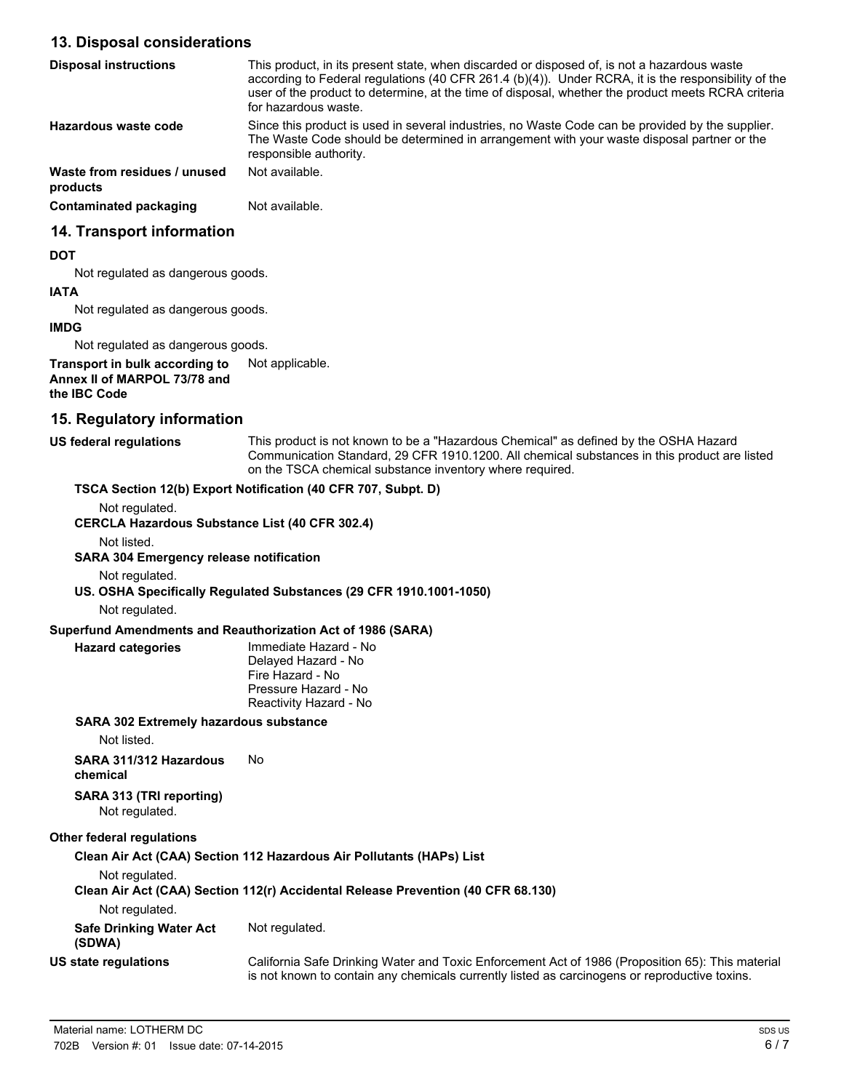# **13. Disposal considerations**

| <b>Disposal instructions</b>             | This product, in its present state, when discarded or disposed of, is not a hazardous waste<br>according to Federal regulations (40 CFR 261.4 $(b)(4)$ ). Under RCRA, it is the responsibility of the<br>user of the product to determine, at the time of disposal, whether the product meets RCRA criteria<br>for hazardous waste. |
|------------------------------------------|-------------------------------------------------------------------------------------------------------------------------------------------------------------------------------------------------------------------------------------------------------------------------------------------------------------------------------------|
| Hazardous waste code                     | Since this product is used in several industries, no Waste Code can be provided by the supplier.<br>The Waste Code should be determined in arrangement with your waste disposal partner or the<br>responsible authority.                                                                                                            |
| Waste from residues / unused<br>products | Not available.                                                                                                                                                                                                                                                                                                                      |
| Contaminated packaging                   | Not available.                                                                                                                                                                                                                                                                                                                      |
| 14. Transport information                |                                                                                                                                                                                                                                                                                                                                     |

#### **DOT**

Not regulated as dangerous goods.

#### **IATA**

Not regulated as dangerous goods.

#### **IMDG**

Not regulated as dangerous goods.

**Transport in bulk according to** Not applicable. **Annex II of MARPOL 73/78 and the IBC Code**

# **15. Regulatory information**

| US federal regulations | This product is not known to be a "Hazardous Chemical" as defined by the OSHA Hazard                                                                     |
|------------------------|----------------------------------------------------------------------------------------------------------------------------------------------------------|
|                        | Communication Standard, 29 CFR 1910.1200. All chemical substances in this product are listed<br>on the TSCA chemical substance inventory where required. |
|                        |                                                                                                                                                          |

# Not regulated. **CERCLA Hazardous Substance List (40 CFR 302.4)** Not listed. **SARA 304 Emergency release notification** Not regulated. **US. OSHA Specifically Regulated Substances (29 CFR 1910.1001-1050)** Not regulated. **Superfund Amendments and Reauthorization Act of 1986 (SARA)** Immediate Hazard - No Delayed Hazard - No Fire Hazard - No Pressure Hazard - No Reactivity Hazard - No **Hazard categories SARA 302 Extremely hazardous substance** Not listed. **SARA 311/312 Hazardous** No **chemical SARA 313 (TRI reporting)** Not regulated. **Other federal regulations**

**TSCA Section 12(b) Export Notification (40 CFR 707, Subpt. D)**

**Clean Air Act (CAA) Section 112 Hazardous Air Pollutants (HAPs) List** Not regulated. **Clean Air Act (CAA) Section 112(r) Accidental Release Prevention (40 CFR 68.130)** Not regulated. **Safe Drinking Water Act** Not regulated. **(SDWA)** California Safe Drinking Water and Toxic Enforcement Act of 1986 (Proposition 65): This material is not known to contain any chemicals currently listed as carcinogens or reproductive toxins. **US state regulations**